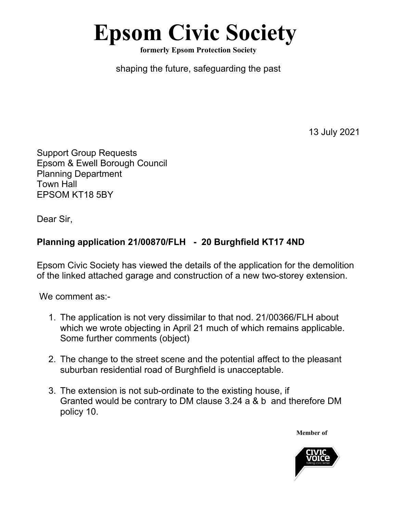## **Epsom Civic Society**

**formerly Epsom Protection Society**

shaping the future, safeguarding the past

13 July 2021

Support Group Requests Epsom & Ewell Borough Council Planning Department Town Hall EPSOM KT18 5BY

Dear Sir,

## **Planning application 21/00870/FLH - 20 Burghfield KT17 4ND**

Epsom Civic Society has viewed the details of the application for the demolition of the linked attached garage and construction of a new two-storey extension.

We comment as:-

- 1. The application is not very dissimilar to that nod. 21/00366/FLH about which we wrote objecting in April 21 much of which remains applicable. Some further comments (object)
- 2. The change to the street scene and the potential affect to the pleasant suburban residential road of Burghfield is unacceptable.
- 3. The extension is not sub-ordinate to the existing house, if Granted would be contrary to DM clause 3.24 a & b and therefore DM policy 10.

**Member of**